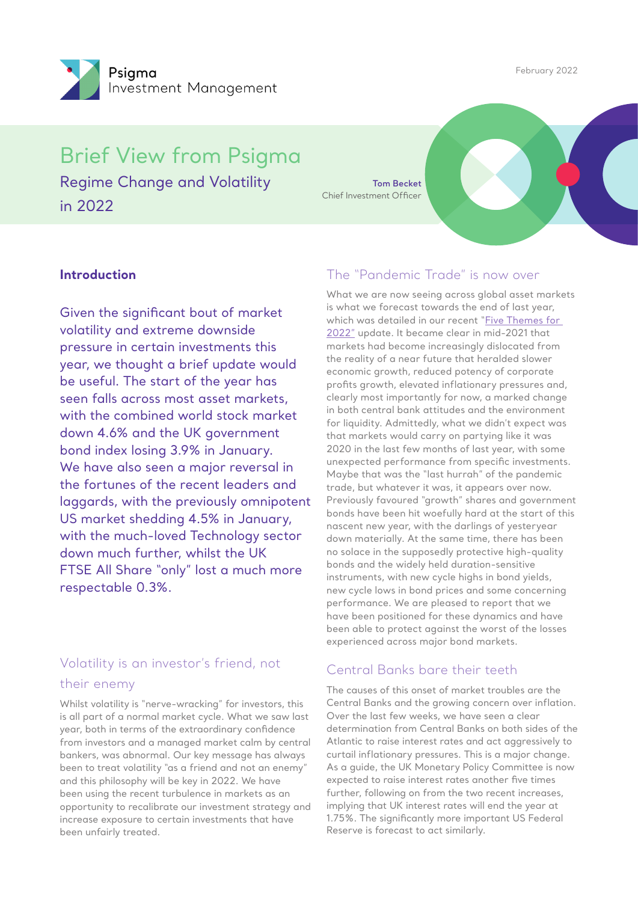February 2022



Brief View from Psigma Regime Change and Volatility

in 2022

**Tom Becket** Chief Investment Officer

#### **Introduction**

Given the significant bout of market volatility and extreme downside pressure in certain investments this year, we thought a brief update would be useful. The start of the year has seen falls across most asset markets, with the combined world stock market down 4.6% and the UK government bond index losing 3.9% in January. We have also seen a major reversal in the fortunes of the recent leaders and laggards, with the previously omnipotent US market shedding 4.5% in January, with the much-loved Technology sector down much further, whilst the UK FTSE All Share "only" lost a much more respectable 0.3%.

## Volatility is an investor's friend, not their enemy

Whilst volatility is "nerve-wracking" for investors, this is all part of a normal market cycle. What we saw last year, both in terms of the extraordinary confidence from investors and a managed market calm by central bankers, was abnormal. Our key message has always been to treat volatility "as a friend and not an enemy" and this philosophy will be key in 2022. We have been using the recent turbulence in markets as an opportunity to recalibrate our investment strategy and increase exposure to certain investments that have been unfairly treated.

### The "Pandemic Trade" is now over

What we are now seeing across global asset markets is what we forecast towards the end of last year, which was detailed in our recent "Five Themes for [2022"](https://www.psigma.com/2022/01/12/view-from-psigma-q4-2021/
) update. It became clear in mid-2021 that markets had become increasingly dislocated from the reality of a near future that heralded slower economic growth, reduced potency of corporate profits growth, elevated inflationary pressures and, clearly most importantly for now, a marked change in both central bank attitudes and the environment for liquidity. Admittedly, what we didn't expect was that markets would carry on partying like it was 2020 in the last few months of last year, with some unexpected performance from specific investments. Maybe that was the "last hurrah" of the pandemic trade, but whatever it was, it appears over now. Previously favoured "growth" shares and government bonds have been hit woefully hard at the start of this nascent new year, with the darlings of yesteryear down materially. At the same time, there has been no solace in the supposedly protective high-quality bonds and the widely held duration-sensitive instruments, with new cycle highs in bond yields, new cycle lows in bond prices and some concerning performance. We are pleased to report that we have been positioned for these dynamics and have been able to protect against the worst of the losses experienced across major bond markets.

### Central Banks bare their teeth

The causes of this onset of market troubles are the Central Banks and the growing concern over inflation. Over the last few weeks, we have seen a clear determination from Central Banks on both sides of the Atlantic to raise interest rates and act aggressively to curtail inflationary pressures. This is a major change. As a guide, the UK Monetary Policy Committee is now expected to raise interest rates another five times further, following on from the two recent increases, implying that UK interest rates will end the year at 1.75%. The significantly more important US Federal Reserve is forecast to act similarly.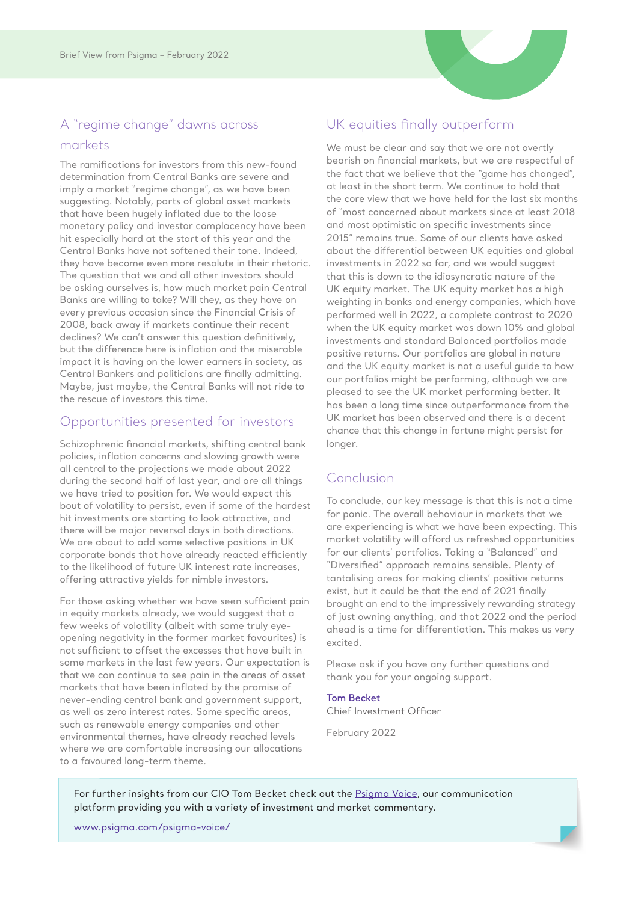# A "regime change" dawns across markets

The ramifications for investors from this new-found determination from Central Banks are severe and imply a market "regime change", as we have been suggesting. Notably, parts of global asset markets that have been hugely inflated due to the loose monetary policy and investor complacency have been hit especially hard at the start of this year and the Central Banks have not softened their tone. Indeed, they have become even more resolute in their rhetoric. The question that we and all other investors should be asking ourselves is, how much market pain Central Banks are willing to take? Will they, as they have on every previous occasion since the Financial Crisis of 2008, back away if markets continue their recent declines? We can't answer this question definitively, but the difference here is inflation and the miserable impact it is having on the lower earners in society, as Central Bankers and politicians are finally admitting. Maybe, just maybe, the Central Banks will not ride to the rescue of investors this time.

#### Opportunities presented for investors

Schizophrenic financial markets, shifting central bank policies, inflation concerns and slowing growth were all central to the projections we made about 2022 during the second half of last year, and are all things we have tried to position for. We would expect this bout of volatility to persist, even if some of the hardest hit investments are starting to look attractive, and there will be major reversal days in both directions. We are about to add some selective positions in UK corporate bonds that have already reacted efficiently to the likelihood of future UK interest rate increases, offering attractive yields for nimble investors.

For those asking whether we have seen sufficient pain in equity markets already, we would suggest that a few weeks of volatility (albeit with some truly eyeopening negativity in the former market favourites) is not sufficient to offset the excesses that have built in some markets in the last few years. Our expectation is that we can continue to see pain in the areas of asset markets that have been inflated by the promise of never-ending central bank and government support, as well as zero interest rates. Some specific areas, such as renewable energy companies and other environmental themes, have already reached levels where we are comfortable increasing our allocations to a favoured long-term theme.

### UK equities finally outperform

We must be clear and say that we are not overtly bearish on financial markets, but we are respectful of the fact that we believe that the "game has changed", at least in the short term. We continue to hold that the core view that we have held for the last six months of "most concerned about markets since at least 2018 and most optimistic on specific investments since 2015" remains true. Some of our clients have asked about the differential between UK equities and global investments in 2022 so far, and we would suggest that this is down to the idiosyncratic nature of the UK equity market. The UK equity market has a high weighting in banks and energy companies, which have performed well in 2022, a complete contrast to 2020 when the UK equity market was down 10% and global investments and standard Balanced portfolios made positive returns. Our portfolios are global in nature and the UK equity market is not a useful guide to how our portfolios might be performing, although we are pleased to see the UK market performing better. It has been a long time since outperformance from the UK market has been observed and there is a decent chance that this change in fortune might persist for longer.

### Conclusion

To conclude, our key message is that this is not a time for panic. The overall behaviour in markets that we are experiencing is what we have been expecting. This market volatility will afford us refreshed opportunities for our clients' portfolios. Taking a "Balanced" and "Diversified" approach remains sensible. Plenty of tantalising areas for making clients' positive returns exist, but it could be that the end of 2021 finally brought an end to the impressively rewarding strategy of just owning anything, and that 2022 and the period ahead is a time for differentiation. This makes us very excited.

Please ask if you have any further questions and thank you for your ongoing support.

#### **Tom Becket**

Chief Investment Officer

February 2022

For further insights from our CIO Tom Becket check out the [Psigma Voice](http://www.psigma.com/psigma-voice/), our communication platform providing you with a variety of investment and market commentary.

[www.psigma.com/psigma-voice/](http://www.psigma.com/psigma-voice/)